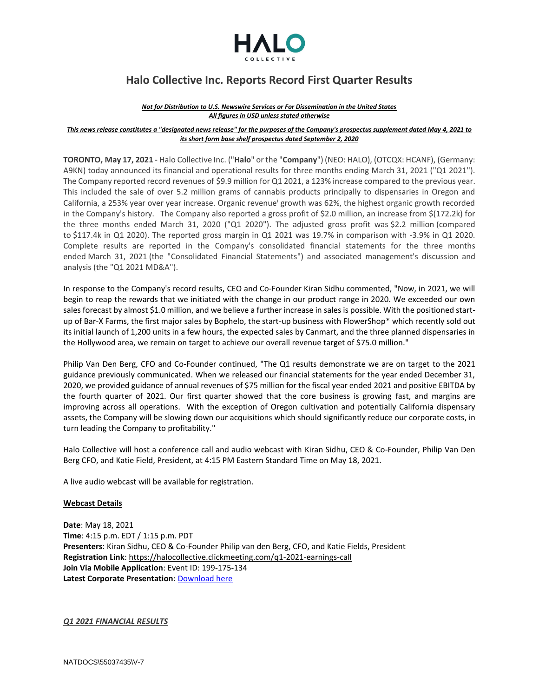

# **Halo Collective Inc. Reports Record First Quarter Results**

#### *Not for Distribution to U.S. Newswire Services or For Dissemination in the United States All figures in USD unless stated otherwise*

#### This news release constitutes a "designated news release" for the purposes of the Company's prospectus supplement dated May 4, 2021 to *its short form base shelf prospectus dated September 2, 2020*

**TORONTO, May 17, 2021** - Halo Collective Inc. ("**Halo**" or the "**Company**") (NEO: HALO), (OTCQX: HCANF), (Germany: A9KN) today announced its financial and operational results for three months ending March 31, 2021 ("Q1 2021"). The Company reported record revenues of \$9.9 million for Q1 2021, a 123% increase compared to the previous year. This included the sale of over 5.2 million grams of cannabis products principally to dispensaries in Oregon and California, a 253% year over year increase. Organic revenue<sup>i</sup> growth was 62%, the highest organic growth recorded in the Company's history. The Company also reported a gross profit of \$2.0 million, an increase from \$(172.2k) for the three months ended March 31, 2020 ("Q1 2020"). The adjusted gross profit was \$2.2 million (compared to \$117.4k in Q1 2020). The reported gross margin in Q1 2021 was 19.7% in comparison with -3.9% in Q1 2020. Complete results are reported in the Company's consolidated financial statements for the three months ended March 31, 2021 (the "Consolidated Financial Statements") and associated management's discussion and analysis (the "Q1 2021 MD&A").

In response to the Company's record results, CEO and Co-Founder Kiran Sidhu commented, "Now, in 2021, we will begin to reap the rewards that we initiated with the change in our product range in 2020. We exceeded our own sales forecast by almost \$1.0 million, and we believe a further increase in sales is possible. With the positioned startup of Bar-X Farms, the first major sales by Bophelo, the start-up business with FlowerShop\* which recently sold out its initial launch of 1,200 units in a few hours, the expected sales by Canmart, and the three planned dispensaries in the Hollywood area, we remain on target to achieve our overall revenue target of \$75.0 million."

Philip Van Den Berg, CFO and Co-Founder continued, "The Q1 results demonstrate we are on target to the 2021 guidance previously communicated. When we released our financial statements for the year ended December 31, 2020, we provided guidance of annual revenues of \$75 million for the fiscal year ended 2021 and positive EBITDA by the fourth quarter of 2021. Our first quarter showed that the core business is growing fast, and margins are improving across all operations. With the exception of Oregon cultivation and potentially California dispensary assets, the Company will be slowing down our acquisitions which should significantly reduce our corporate costs, in turn leading the Company to profitability."

Halo Collective will host a conference call and audio webcast with Kiran Sidhu, CEO & Co-Founder, Philip Van Den Berg CFO, and Katie Field, President, at 4:15 PM Eastern Standard Time on May 18, 2021.

A live audio webcast will be available for registration.

## **Webcast Details**

**Date**: May 18, 2021 **Time**: 4:15 p.m. EDT / 1:15 p.m. PDT **Presenters**: Kiran Sidhu, CEO & Co-Founder Philip van den Berg, CFO, and Katie Fields, President **Registration Link**[: https://halocollective.clickmeeting.com/q1-2021-earnings-call](https://halocollective.clickmeeting.com/q1-2021-earnings-call) **Join Via Mobile Application**: Event ID: 199-175-134 **Latest Corporate Presentation**: [Download here](https://haloco.com/wp-content/uploads/2021/05/Halo_Corporate_Deck_v56.pdf)

## *Q1 2021 FINANCIAL RESULTS*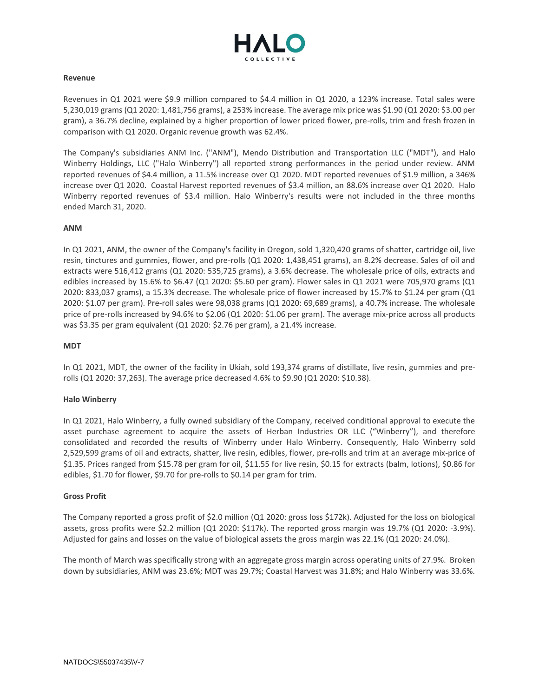

#### **Revenue**

Revenues in Q1 2021 were \$9.9 million compared to \$4.4 million in Q1 2020, a 123% increase. Total sales were 5,230,019 grams (Q1 2020: 1,481,756 grams), a 253% increase. The average mix price was \$1.90 (Q1 2020: \$3.00 per gram), a 36.7% decline, explained by a higher proportion of lower priced flower, pre-rolls, trim and fresh frozen in comparison with Q1 2020. Organic revenue growth was 62.4%.

The Company's subsidiaries ANM Inc. ("ANM"), Mendo Distribution and Transportation LLC ("MDT"), and Halo Winberry Holdings, LLC ("Halo Winberry") all reported strong performances in the period under review. ANM reported revenues of \$4.4 million, a 11.5% increase over Q1 2020. MDT reported revenues of \$1.9 million, a 346% increase over Q1 2020. Coastal Harvest reported revenues of \$3.4 million, an 88.6% increase over Q1 2020. Halo Winberry reported revenues of \$3.4 million. Halo Winberry's results were not included in the three months ended March 31, 2020.

#### **ANM**

In Q1 2021, ANM, the owner of the Company's facility in Oregon, sold 1,320,420 grams of shatter, cartridge oil, live resin, tinctures and gummies, flower, and pre-rolls (Q1 2020: 1,438,451 grams), an 8.2% decrease. Sales of oil and extracts were 516,412 grams (Q1 2020: 535,725 grams), a 3.6% decrease. The wholesale price of oils, extracts and edibles increased by 15.6% to \$6.47 (Q1 2020: \$5.60 per gram). Flower sales in Q1 2021 were 705,970 grams (Q1 2020: 833,037 grams), a 15.3% decrease. The wholesale price of flower increased by 15.7% to \$1.24 per gram (Q1 2020: \$1.07 per gram). Pre-roll sales were 98,038 grams (Q1 2020: 69,689 grams), a 40.7% increase. The wholesale price of pre-rolls increased by 94.6% to \$2.06 (Q1 2020: \$1.06 per gram). The average mix-price across all products was \$3.35 per gram equivalent (Q1 2020: \$2.76 per gram), a 21.4% increase.

#### **MDT**

In Q1 2021, MDT, the owner of the facility in Ukiah, sold 193,374 grams of distillate, live resin, gummies and prerolls (Q1 2020: 37,263). The average price decreased 4.6% to \$9.90 (Q1 2020: \$10.38).

## **Halo Winberry**

In Q1 2021, Halo Winberry, a fully owned subsidiary of the Company, received conditional approval to execute the asset purchase agreement to acquire the assets of Herban Industries OR LLC ("Winberry"), and therefore consolidated and recorded the results of Winberry under Halo Winberry. Consequently, Halo Winberry sold 2,529,599 grams of oil and extracts, shatter, live resin, edibles, flower, pre-rolls and trim at an average mix-price of \$1.35. Prices ranged from \$15.78 per gram for oil, \$11.55 for live resin, \$0.15 for extracts (balm, lotions), \$0.86 for edibles, \$1.70 for flower, \$9.70 for pre-rolls to \$0.14 per gram for trim.

## **Gross Profit**

The Company reported a gross profit of \$2.0 million (Q1 2020: gross loss \$172k). Adjusted for the loss on biological assets, gross profits were \$2.2 million (Q1 2020: \$117k). The reported gross margin was 19.7% (Q1 2020: -3.9%). Adjusted for gains and losses on the value of biological assets the gross margin was 22.1% (Q1 2020: 24.0%).

The month of March was specifically strong with an aggregate gross margin across operating units of 27.9%. Broken down by subsidiaries, ANM was 23.6%; MDT was 29.7%; Coastal Harvest was 31.8%; and Halo Winberry was 33.6%.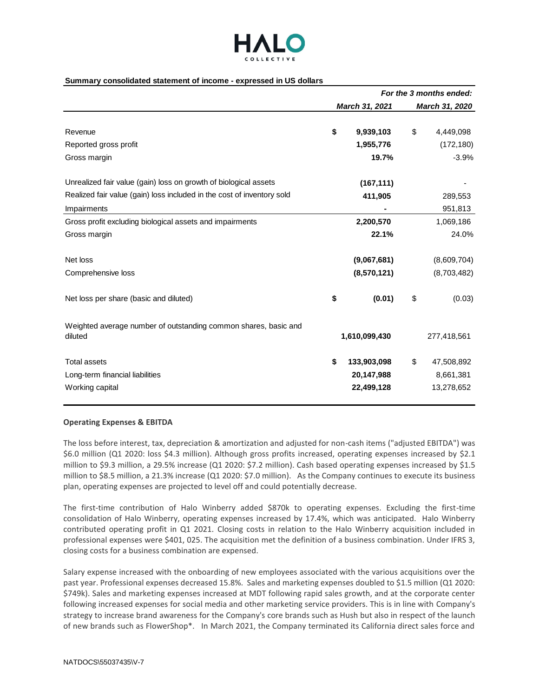

#### **Summary consolidated statement of income - expressed in US dollars**

|                                                                            | For the 3 months ended: |                |    |                |
|----------------------------------------------------------------------------|-------------------------|----------------|----|----------------|
|                                                                            |                         | March 31, 2021 |    | March 31, 2020 |
| Revenue                                                                    | \$                      | 9,939,103      | \$ | 4,449,098      |
| Reported gross profit                                                      |                         | 1,955,776      |    | (172, 180)     |
| Gross margin                                                               |                         | 19.7%          |    | $-3.9%$        |
| Unrealized fair value (gain) loss on growth of biological assets           |                         | (167, 111)     |    |                |
| Realized fair value (gain) loss included in the cost of inventory sold     |                         | 411,905        |    | 289,553        |
| Impairments                                                                |                         |                |    | 951,813        |
| Gross profit excluding biological assets and impairments                   |                         | 2,200,570      |    | 1,069,186      |
| Gross margin                                                               |                         | 22.1%          |    | 24.0%          |
| Net loss                                                                   |                         | (9,067,681)    |    | (8,609,704)    |
| Comprehensive loss                                                         |                         | (8,570,121)    |    | (8,703,482)    |
| Net loss per share (basic and diluted)                                     | \$                      | (0.01)         | \$ | (0.03)         |
| Weighted average number of outstanding common shares, basic and<br>diluted |                         | 1,610,099,430  |    | 277,418,561    |
| <b>Total assets</b>                                                        | \$                      | 133,903,098    | \$ | 47,508,892     |
| Long-term financial liabilities                                            |                         | 20,147,988     |    | 8,661,381      |
| Working capital                                                            |                         | 22,499,128     |    | 13,278,652     |

#### **Operating Expenses & EBITDA**

The loss before interest, tax, depreciation & amortization and adjusted for non-cash items ("adjusted EBITDA") was \$6.0 million (Q1 2020: loss \$4.3 million). Although gross profits increased, operating expenses increased by \$2.1 million to \$9.3 million, a 29.5% increase (Q1 2020: \$7.2 million). Cash based operating expenses increased by \$1.5 million to \$8.5 million, a 21.3% increase (Q1 2020: \$7.0 million). As the Company continues to execute its business plan, operating expenses are projected to level off and could potentially decrease.

The first-time contribution of Halo Winberry added \$870k to operating expenses. Excluding the first-time consolidation of Halo Winberry, operating expenses increased by 17.4%, which was anticipated. Halo Winberry contributed operating profit in Q1 2021. Closing costs in relation to the Halo Winberry acquisition included in professional expenses were \$401, 025. The acquisition met the definition of a business combination. Under IFRS 3, closing costs for a business combination are expensed.

Salary expense increased with the onboarding of new employees associated with the various acquisitions over the past year. Professional expenses decreased 15.8%. Sales and marketing expenses doubled to \$1.5 million (Q1 2020: \$749k). Sales and marketing expenses increased at MDT following rapid sales growth, and at the corporate center following increased expenses for social media and other marketing service providers. This is in line with Company's strategy to increase brand awareness for the Company's core brands such as Hush but also in respect of the launch of new brands such as FlowerShop\*. In March 2021, the Company terminated its California direct sales force and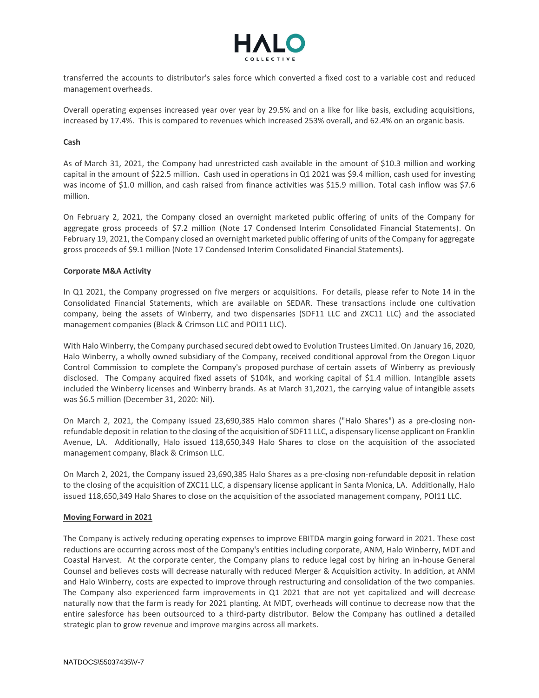

transferred the accounts to distributor's sales force which converted a fixed cost to a variable cost and reduced management overheads.

Overall operating expenses increased year over year by 29.5% and on a like for like basis, excluding acquisitions, increased by 17.4%. This is compared to revenues which increased 253% overall, and 62.4% on an organic basis.

## **Cash**

As of March 31, 2021, the Company had unrestricted cash available in the amount of \$10.3 million and working capital in the amount of \$22.5 million. Cash used in operations in Q1 2021 was \$9.4 million, cash used for investing was income of \$1.0 million, and cash raised from finance activities was \$15.9 million. Total cash inflow was \$7.6 million.

On February 2, 2021, the Company closed an overnight marketed public offering of units of the Company for aggregate gross proceeds of \$7.2 million (Note 17 Condensed Interim Consolidated Financial Statements). On February 19, 2021, the Company closed an overnight marketed public offering of units of the Company for aggregate gross proceeds of \$9.1 million (Note 17 Condensed Interim Consolidated Financial Statements).

## **Corporate M&A Activity**

In Q1 2021, the Company progressed on five mergers or acquisitions. For details, please refer to Note 14 in the Consolidated Financial Statements, which are available on SEDAR. These transactions include one cultivation company, being the assets of Winberry, and two dispensaries (SDF11 LLC and ZXC11 LLC) and the associated management companies (Black & Crimson LLC and POI11 LLC).

With Halo Winberry, the Company purchased secured debt owed to Evolution Trustees Limited. On January 16, 2020, Halo Winberry, a wholly owned subsidiary of the Company, received conditional approval from the Oregon Liquor Control Commission to complete the Company's proposed purchase of certain assets of Winberry as previously disclosed. The Company acquired fixed assets of \$104k, and working capital of \$1.4 million. Intangible assets included the Winberry licenses and Winberry brands. As at March 31,2021, the carrying value of intangible assets was \$6.5 million (December 31, 2020: Nil).

On March 2, 2021, the Company issued 23,690,385 Halo common shares ("Halo Shares") as a pre-closing nonrefundable deposit in relation to the closing of the acquisition of SDF11 LLC, a dispensary license applicant on Franklin Avenue, LA. Additionally, Halo issued 118,650,349 Halo Shares to close on the acquisition of the associated management company, Black & Crimson LLC.

On March 2, 2021, the Company issued 23,690,385 Halo Shares as a pre-closing non-refundable deposit in relation to the closing of the acquisition of ZXC11 LLC, a dispensary license applicant in Santa Monica, LA. Additionally, Halo issued 118,650,349 Halo Shares to close on the acquisition of the associated management company, POI11 LLC.

## **Moving Forward in 2021**

The Company is actively reducing operating expenses to improve EBITDA margin going forward in 2021. These cost reductions are occurring across most of the Company's entities including corporate, ANM, Halo Winberry, MDT and Coastal Harvest. At the corporate center, the Company plans to reduce legal cost by hiring an in-house General Counsel and believes costs will decrease naturally with reduced Merger & Acquisition activity. In addition, at ANM and Halo Winberry, costs are expected to improve through restructuring and consolidation of the two companies. The Company also experienced farm improvements in Q1 2021 that are not yet capitalized and will decrease naturally now that the farm is ready for 2021 planting. At MDT, overheads will continue to decrease now that the entire salesforce has been outsourced to a third-party distributor. Below the Company has outlined a detailed strategic plan to grow revenue and improve margins across all markets.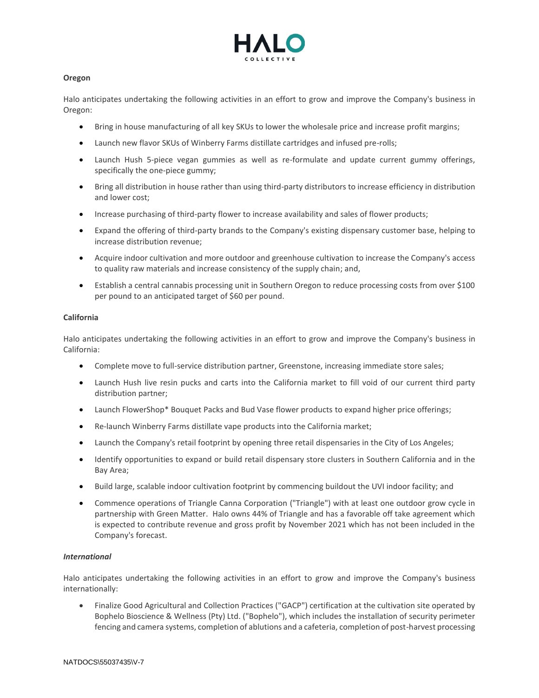

# **Oregon**

Halo anticipates undertaking the following activities in an effort to grow and improve the Company's business in Oregon:

- Bring in house manufacturing of all key SKUs to lower the wholesale price and increase profit margins;
- Launch new flavor SKUs of Winberry Farms distillate cartridges and infused pre-rolls;
- Launch Hush 5-piece vegan gummies as well as re-formulate and update current gummy offerings, specifically the one-piece gummy;
- Bring all distribution in house rather than using third-party distributors to increase efficiency in distribution and lower cost;
- Increase purchasing of third-party flower to increase availability and sales of flower products;
- Expand the offering of third-party brands to the Company's existing dispensary customer base, helping to increase distribution revenue;
- Acquire indoor cultivation and more outdoor and greenhouse cultivation to increase the Company's access to quality raw materials and increase consistency of the supply chain; and,
- Establish a central cannabis processing unit in Southern Oregon to reduce processing costs from over \$100 per pound to an anticipated target of \$60 per pound.

# **California**

Halo anticipates undertaking the following activities in an effort to grow and improve the Company's business in California:

- Complete move to full-service distribution partner, Greenstone, increasing immediate store sales;
- Launch Hush live resin pucks and carts into the California market to fill void of our current third party distribution partner;
- Launch FlowerShop\* Bouquet Packs and Bud Vase flower products to expand higher price offerings;
- Re-launch Winberry Farms distillate vape products into the California market;
- Launch the Company's retail footprint by opening three retail dispensaries in the City of Los Angeles;
- Identify opportunities to expand or build retail dispensary store clusters in Southern California and in the Bay Area;
- Build large, scalable indoor cultivation footprint by commencing buildout the UVI indoor facility; and
- Commence operations of Triangle Canna Corporation ("Triangle") with at least one outdoor grow cycle in partnership with Green Matter. Halo owns 44% of Triangle and has a favorable off take agreement which is expected to contribute revenue and gross profit by November 2021 which has not been included in the Company's forecast.

## *International*

Halo anticipates undertaking the following activities in an effort to grow and improve the Company's business internationally:

• Finalize Good Agricultural and Collection Practices ("GACP") certification at the cultivation site operated by Bophelo Bioscience & Wellness (Pty) Ltd. ("Bophelo"), which includes the installation of security perimeter fencing and camera systems, completion of ablutions and a cafeteria, completion of post-harvest processing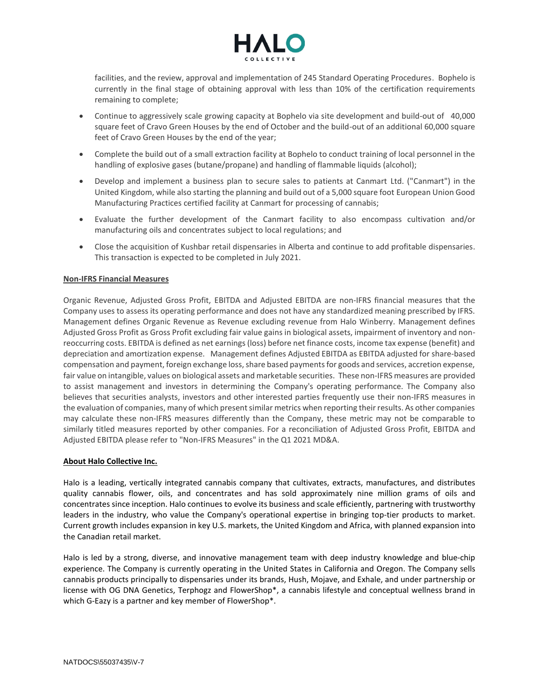

facilities, and the review, approval and implementation of 245 Standard Operating Procedures. Bophelo is currently in the final stage of obtaining approval with less than 10% of the certification requirements remaining to complete;

- Continue to aggressively scale growing capacity at Bophelo via site development and build-out of 40,000 square feet of Cravo Green Houses by the end of October and the build-out of an additional 60,000 square feet of Cravo Green Houses by the end of the year;
- Complete the build out of a small extraction facility at Bophelo to conduct training of local personnel in the handling of explosive gases (butane/propane) and handling of flammable liquids (alcohol);
- Develop and implement a business plan to secure sales to patients at Canmart Ltd. ("Canmart") in the United Kingdom, while also starting the planning and build out of a 5,000 square foot European Union Good Manufacturing Practices certified facility at Canmart for processing of cannabis;
- Evaluate the further development of the Canmart facility to also encompass cultivation and/or manufacturing oils and concentrates subject to local regulations; and
- Close the acquisition of Kushbar retail dispensaries in Alberta and continue to add profitable dispensaries. This transaction is expected to be completed in July 2021.

# **Non-IFRS Financial Measures**

Organic Revenue, Adjusted Gross Profit, EBITDA and Adjusted EBITDA are non-IFRS financial measures that the Company uses to assess its operating performance and does not have any standardized meaning prescribed by IFRS. Management defines Organic Revenue as Revenue excluding revenue from Halo Winberry. Management defines Adjusted Gross Profit as Gross Profit excluding fair value gains in biological assets, impairment of inventory and nonreoccurring costs. EBITDA is defined as net earnings (loss) before net finance costs, income tax expense (benefit) and depreciation and amortization expense. Management defines Adjusted EBITDA as EBITDA adjusted for share-based compensation and payment, foreign exchange loss, share based payments for goods and services, accretion expense, fair value on intangible, values on biological assets and marketable securities. These non-IFRS measures are provided to assist management and investors in determining the Company's operating performance. The Company also believes that securities analysts, investors and other interested parties frequently use their non-IFRS measures in the evaluation of companies, many of which present similar metrics when reporting their results. As other companies may calculate these non-IFRS measures differently than the Company, these metric may not be comparable to similarly titled measures reported by other companies. For a reconciliation of Adjusted Gross Profit, EBITDA and Adjusted EBITDA please refer to "Non-IFRS Measures" in the Q1 2021 MD&A.

## **About Halo Collective Inc.**

Halo is a leading, vertically integrated cannabis company that cultivates, extracts, manufactures, and distributes quality cannabis flower, oils, and concentrates and has sold approximately nine million grams of oils and concentrates since inception. Halo continues to evolve its business and scale efficiently, partnering with trustworthy leaders in the industry, who value the Company's operational expertise in bringing top-tier products to market. Current growth includes expansion in key U.S. markets, the United Kingdom and Africa, with planned expansion into the Canadian retail market.

Halo is led by a strong, diverse, and innovative management team with deep industry knowledge and blue-chip experience. The Company is currently operating in the United States in California and Oregon. The Company sells cannabis products principally to dispensaries under its brands, Hush, Mojave, and Exhale, and under partnership or license with OG DNA Genetics, Terphogz and FlowerShop\*, a cannabis lifestyle and conceptual wellness brand in which G-Eazy is a partner and key member of FlowerShop\*.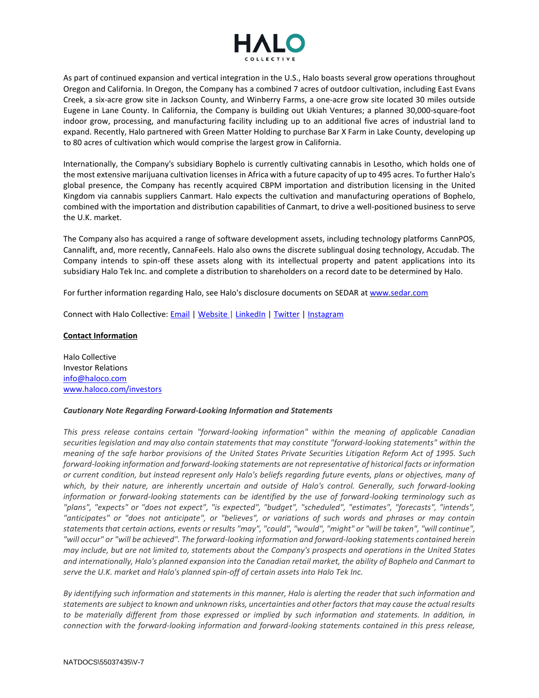

As part of continued expansion and vertical integration in the U.S., Halo boasts several grow operations throughout Oregon and California. In Oregon, the Company has a combined 7 acres of outdoor cultivation, including East Evans Creek, a six-acre grow site in Jackson County, and Winberry Farms, a one-acre grow site located 30 miles outside Eugene in Lane County. In California, the Company is building out Ukiah Ventures; a planned 30,000-square-foot indoor grow, processing, and manufacturing facility including up to an additional five acres of industrial land to expand. Recently, Halo partnered with Green Matter Holding to purchase Bar X Farm in Lake County, developing up to 80 acres of cultivation which would comprise the largest grow in California.

Internationally, the Company's subsidiary Bophelo is currently cultivating cannabis in Lesotho, which holds one of the most extensive marijuana cultivation licenses in Africa with a future capacity of up to 495 acres. To further Halo's global presence, the Company has recently acquired CBPM importation and distribution licensing in the United Kingdom via cannabis suppliers Canmart. Halo expects the cultivation and manufacturing operations of Bophelo, combined with the importation and distribution capabilities of Canmart, to drive a well-positioned business to serve the U.K. market.

The Company also has acquired a range of software development assets, including technology platforms CannPOS, Cannalift, and, more recently, CannaFeels. Halo also owns the discrete sublingual dosing technology, Accudab. The Company intends to spin-off these assets along with its intellectual property and patent applications into its subsidiary Halo Tek Inc. and complete a distribution to shareholders on a record date to be determined by Halo.

For further information regarding Halo, see Halo's disclosure documents on SEDAR at [www.sedar.com](http://www.sedar.com/)

Connect with Halo Collective[: Email](mailto:info@haloco.com) | [Website](http://www.haloco.com/) | [LinkedIn](https://www.linkedin.com/company/halo-cannabis/) | [Twitter](https://twitter.com/_HaloCollective) | [Instagram](https://www.instagram.com/halocollectiveinc/)

## **Contact Information**

Halo Collective Investor Relations [info@haloco.com](mailto:info@haloco.com) [www.haloco.com/investors](http://www.haloco.com/investors)

## *Cautionary Note Regarding Forward-Looking Information and Statements*

*This press release contains certain "forward-looking information" within the meaning of applicable Canadian securities legislation and may also contain statements that may constitute "forward-looking statements" within the meaning of the safe harbor provisions of the United States Private Securities Litigation Reform Act of 1995. Such forward-looking information and forward-looking statements are not representative of historical facts or information or current condition, but instead represent only Halo's beliefs regarding future events, plans or objectives, many of which, by their nature, are inherently uncertain and outside of Halo's control. Generally, such forward-looking information or forward-looking statements can be identified by the use of forward-looking terminology such as "plans", "expects" or "does not expect", "is expected", "budget", "scheduled", "estimates", "forecasts", "intends", "anticipates" or "does not anticipate", or "believes", or variations of such words and phrases or may contain statements that certain actions, events or results "may", "could", "would", "might" or "will be taken", "will continue", "will occur" or "will be achieved". The forward-looking information and forward-looking statements contained herein may include, but are not limited to, statements about the Company's prospects and operations in the United States and internationally, Halo's planned expansion into the Canadian retail market, the ability of Bophelo and Canmart to serve the U.K. market and Halo's planned spin-off of certain assets into Halo Tek Inc.*

*By identifying such information and statements in this manner, Halo is alerting the reader that such information and statements are subject to known and unknown risks, uncertainties and other factors that may cause the actual results*  to be materially different from those expressed or implied by such information and statements. In addition, in *connection with the forward-looking information and forward-looking statements contained in this press release,*